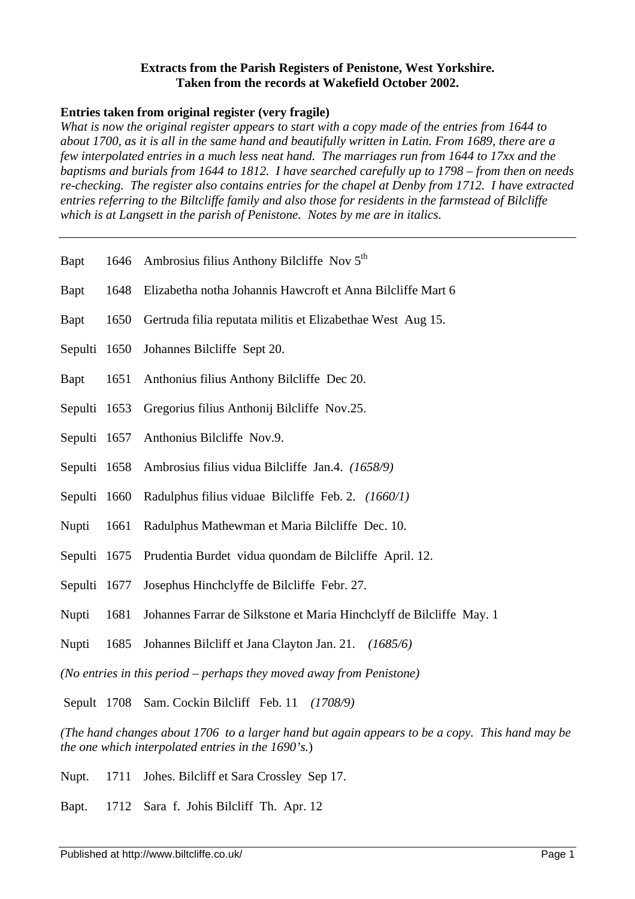#### **Extracts from the Parish Registers of Penistone, West Yorkshire. Taken from the records at Wakefield October 2002.**

#### **Entries taken from original register (very fragile)**

*What is now the original register appears to start with a copy made of the entries from 1644 to about 1700, as it is all in the same hand and beautifully written in Latin. From 1689, there are a few interpolated entries in a much less neat hand. The marriages run from 1644 to 17xx and the baptisms and burials from 1644 to 1812. I have searched carefully up to 1798 – from then on needs re-checking. The register also contains entries for the chapel at Denby from 1712. I have extracted entries referring to the Biltcliffe family and also those for residents in the farmstead of Bilcliffe which is at Langsett in the parish of Penistone. Notes by me are in italics.*

- Bapt 1646 Ambrosius filius Anthony Bilcliffe Nov 5<sup>th</sup>
- Bapt 1648 Elizabetha notha Johannis Hawcroft et Anna Bilcliffe Mart 6
- Bapt 1650 Gertruda filia reputata militis et Elizabethae West Aug 15.
- Sepulti 1650 Johannes Bilcliffe Sept 20.
- Bapt 1651 Anthonius filius Anthony Bilcliffe Dec 20.
- Sepulti 1653 Gregorius filius Anthonij Bilcliffe Nov.25.
- Sepulti 1657 Anthonius Bilcliffe Nov.9.
- Sepulti 1658 Ambrosius filius vidua Bilcliffe Jan.4. *(1658/9)*
- Sepulti 1660 Radulphus filius viduae Bilcliffe Feb. 2. *(1660/1)*
- Nupti 1661 Radulphus Mathewman et Maria Bilcliffe Dec. 10.
- Sepulti 1675 Prudentia Burdet vidua quondam de Bilcliffe April. 12.
- Sepulti 1677 Josephus Hinchclyffe de Bilcliffe Febr. 27.
- Nupti 1681 Johannes Farrar de Silkstone et Maria Hinchclyff de Bilcliffe May. 1
- Nupti 1685 Johannes Bilcliff et Jana Clayton Jan. 21. *(1685/6)*

*(No entries in this period – perhaps they moved away from Penistone)*

Sepult 1708 Sam. Cockin Bilcliff Feb. 11 *(1708/9)*

*(The hand changes about 1706 to a larger hand but again appears to be a copy. This hand may be the one which interpolated entries in the 1690's.*)

- Nupt. 1711 Johes. Bilcliff et Sara Crossley Sep 17.
- Bapt. 1712 Sara f. Johis Bilcliff Th. Apr. 12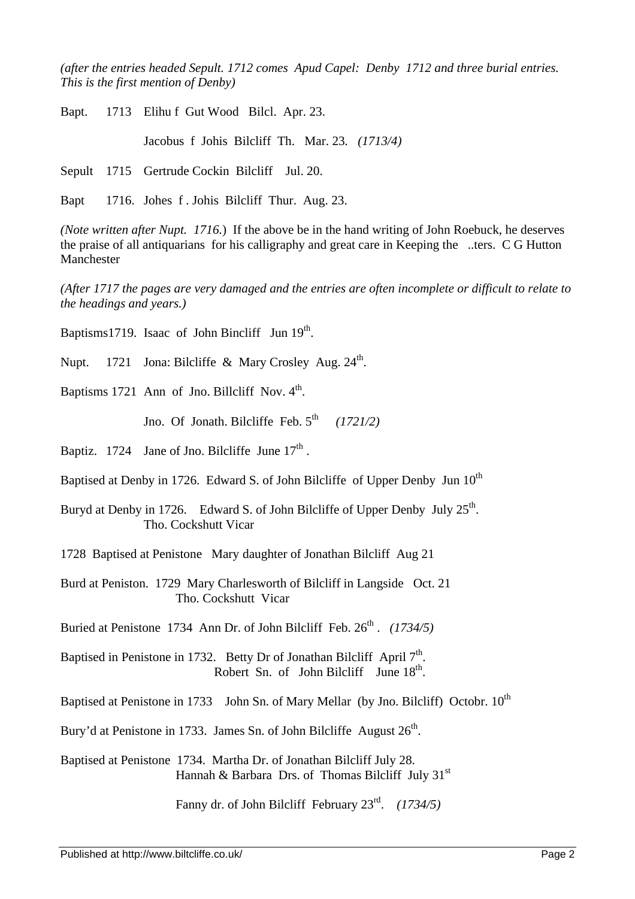*(after the entries headed Sepult. 1712 comes Apud Capel: Denby 1712 and three burial entries. This is the first mention of Denby)* 

Bapt. 1713 Elihu f Gut Wood Bilcl. Apr. 23.

Jacobus f Johis Bilcliff Th. Mar. 23*. (1713/4)*

Sepult 1715 Gertrude Cockin Bilcliff Jul. 20.

Bapt 1716. Johes f . Johis Bilcliff Thur. Aug. 23.

*(Note written after Nupt. 1716.*) If the above be in the hand writing of John Roebuck, he deserves the praise of all antiquarians for his calligraphy and great care in Keeping the ..ters. C G Hutton Manchester

*(After 1717 the pages are very damaged and the entries are often incomplete or difficult to relate to the headings and years.)*

Baptisms1719. Isaac of John Bincliff Jun 19<sup>th</sup>.

Nupt. 1721 Jona: Bilcliffe & Mary Crosley Aug.  $24<sup>th</sup>$ .

Baptisms 1721 Ann of Jno. Billcliff Nov.  $4<sup>th</sup>$ .

Jno. Of Jonath. Bilcliffe Feb.  $5<sup>th</sup>$ *(1721/2)*

Baptiz. 1724 Jane of Jno. Bilcliffe June  $17<sup>th</sup>$ .

Baptised at Denby in 1726. Edward S. of John Bilcliffe of Upper Denby Jun  $10^{th}$ 

Buryd at Denby in 1726. Edward S. of John Bilcliffe of Upper Denby July 25<sup>th</sup>. Tho. Cockshutt Vicar

1728 Baptised at Penistone Mary daughter of Jonathan Bilcliff Aug 21

Burd at Peniston. 1729 Mary Charlesworth of Bilcliff in Langside Oct. 21 Tho. Cockshutt Vicar

Buried at Penistone 1734 Ann Dr. of John Bilcliff Feb. 26<sup>th</sup>. (1734/5)

Baptised in Penistone in 1732. Betty Dr of Jonathan Bilcliff April 7<sup>th</sup>. Robert Sn. of John Bilcliff June  $18^{th}$ .

Baptised at Penistone in 1733 John Sn. of Mary Mellar (by Jno. Bilcliff) Octobr.  $10^{th}$ 

Bury'd at Penistone in 1733. James Sn. of John Bilcliffe August  $26<sup>th</sup>$ .

Baptised at Penistone 1734. Martha Dr. of Jonathan Bilcliff July 28. Hannah & Barbara Drs. of Thomas Bilcliff July  $31<sup>st</sup>$ 

Fanny dr. of John Bilcliff February 23rd . *(1734/5)*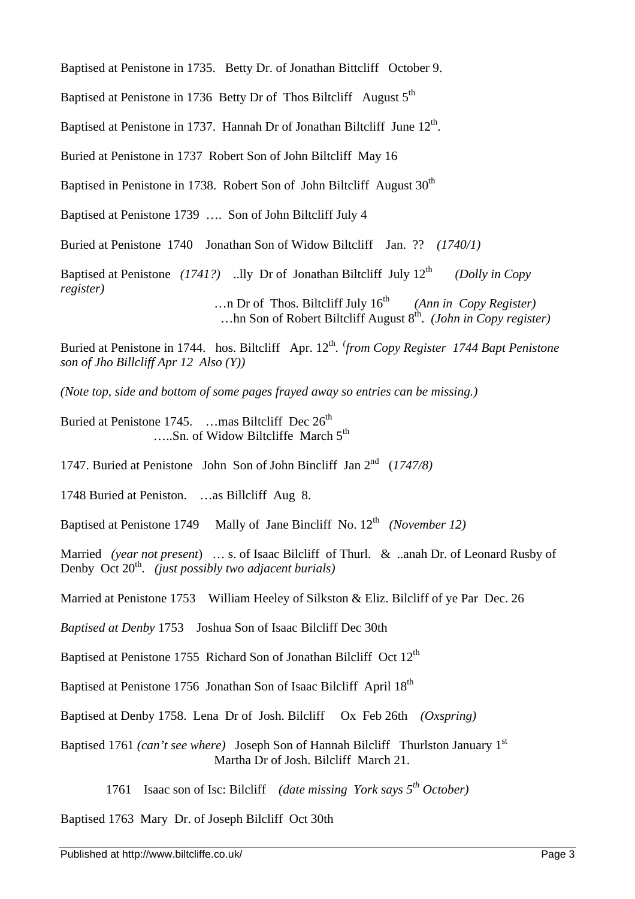Baptised at Penistone in 1735. Betty Dr. of Jonathan Bittcliff October 9.

Baptised at Penistone in 1736 Betty Dr of Thos Biltcliff August 5<sup>th</sup>

Baptised at Penistone in 1737. Hannah Dr of Jonathan Biltcliff June 12<sup>th</sup>.

Buried at Penistone in 1737 Robert Son of John Biltcliff May 16

Baptised in Penistone in 1738. Robert Son of John Biltcliff August  $30<sup>th</sup>$ 

Baptised at Penistone 1739 …. Son of John Biltcliff July 4

Buried at Penistone 1740 Jonathan Son of Widow Biltcliff Jan. ?? *(1740/1)*

Baptised at Penistone *(1741?)* ..lly Dr of Jonathan Biltcliff July 12<sup>th</sup> *(Dolly in Copy register)*

 $\ldots$ n Dr of Thos. Biltcliff July  $16^{th}$  *(Ann in Copy Register)* ...hn Son of Robert Biltcliff August 8<sup>th</sup>. (John in Copy register)

Buried at Penistone in 1744. hos. Biltcliff Apr. 12<sup>th</sup>. *from Copy Register 1744 Bapt Penistone son of Jho Billcliff Apr 12 Also (Y))*

*(Note top, side and bottom of some pages frayed away so entries can be missing.)*

Buried at Penistone 1745. …mas Biltcliff Dec 26<sup>th</sup> .....Sn. of Widow Biltcliffe March  $5<sup>th</sup>$ 

1747. Buried at Penistone John Son of John Bincliff Jan 2nd (*1747/8)*

1748 Buried at Peniston. …as Billcliff Aug 8.

Baptised at Penistone 1749 Mally of Jane Bincliff No. 12<sup>th</sup> (November 12)

Married *(year not present*) … s. of Isaac Bilcliff of Thurl. & ..anah Dr. of Leonard Rusby of Denby Oct 20<sup>th</sup>. (just possibly two adjacent burials)

Married at Penistone 1753 William Heeley of Silkston & Eliz. Bilcliff of ye Par Dec. 26

*Baptised at Denby* 1753 Joshua Son of Isaac Bilcliff Dec 30th

Baptised at Penistone 1755 Richard Son of Jonathan Bilcliff Oct 12<sup>th</sup>

Baptised at Penistone 1756 Jonathan Son of Isaac Bilcliff April 18<sup>th</sup>

Baptised at Denby 1758. Lena Dr of Josh. Bilcliff Ox Feb 26th *(Oxspring)*

Baptised 1761 *(can't see where)* Joseph Son of Hannah Bilcliff Thurlston January 1st Martha Dr of Josh. Bilcliff March 21.

1761 Isaac son of Isc: Bilcliff *(date missing York says 5th October)*

Baptised 1763 Mary Dr. of Joseph Bilcliff Oct 30th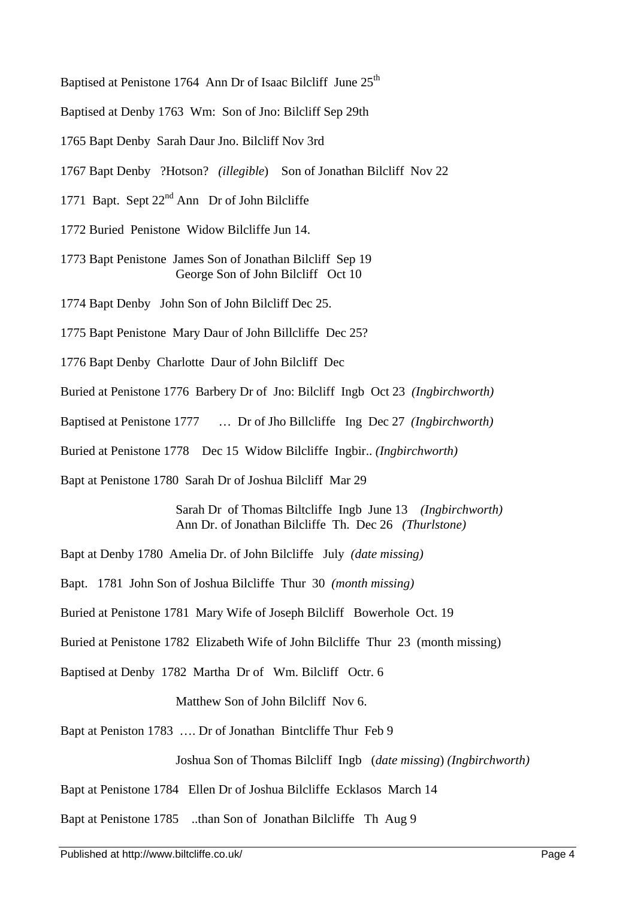Baptised at Penistone 1764 Ann Dr of Isaac Bilcliff June 25<sup>th</sup>

Baptised at Denby 1763 Wm: Son of Jno: Bilcliff Sep 29th

1765 Bapt Denby Sarah Daur Jno. Bilcliff Nov 3rd

1767 Bapt Denby ?Hotson? *(illegible*) Son of Jonathan Bilcliff Nov 22

1771 Bapt. Sept  $22<sup>nd</sup>$  Ann Dr of John Bilcliffe

1772 Buried Penistone Widow Bilcliffe Jun 14.

1773 Bapt Penistone James Son of Jonathan Bilcliff Sep 19 George Son of John Bilcliff Oct 10

1774 Bapt Denby John Son of John Bilcliff Dec 25.

1775 Bapt Penistone Mary Daur of John Billcliffe Dec 25?

1776 Bapt Denby Charlotte Daur of John Bilcliff Dec

Buried at Penistone 1776 Barbery Dr of Jno: Bilcliff Ingb Oct 23 *(Ingbirchworth)*

Baptised at Penistone 1777 … Dr of Jho Billcliffe Ing Dec 27 *(Ingbirchworth)*

Buried at Penistone 1778 Dec 15 Widow Bilcliffe Ingbir.. *(Ingbirchworth)*

Bapt at Penistone 1780 Sarah Dr of Joshua Bilcliff Mar 29

Sarah Dr of Thomas Biltcliffe Ingb June 13 *(Ingbirchworth)* Ann Dr. of Jonathan Bilcliffe Th. Dec 26 *(Thurlstone)*

Bapt at Denby 1780 Amelia Dr. of John Bilcliffe July *(date missing)*

Bapt. 1781 John Son of Joshua Bilcliffe Thur 30 *(month missing)*

Buried at Penistone 1781 Mary Wife of Joseph Bilcliff Bowerhole Oct. 19

Buried at Penistone 1782 Elizabeth Wife of John Bilcliffe Thur 23 (month missing)

Baptised at Denby 1782 Martha Dr of Wm. Bilcliff Octr. 6

Matthew Son of John Bilcliff Nov 6.

Bapt at Peniston 1783 …. Dr of Jonathan Bintcliffe Thur Feb 9

Joshua Son of Thomas Bilcliff Ingb (*date missing*) *(Ingbirchworth)*

Bapt at Penistone 1784 Ellen Dr of Joshua Bilcliffe Ecklasos March 14

Bapt at Penistone 1785 ..than Son of Jonathan Bilcliffe Th Aug 9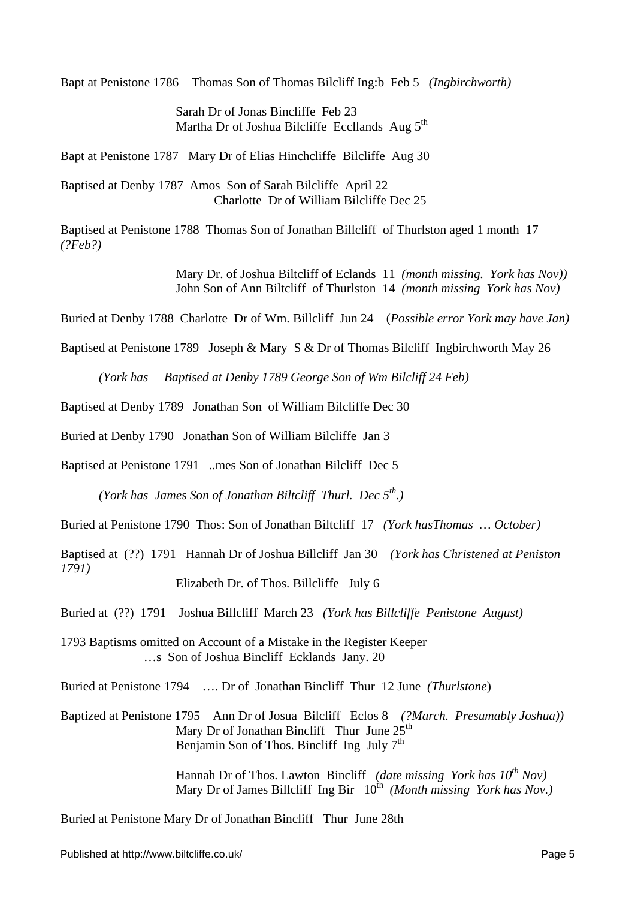Bapt at Penistone 1786 Thomas Son of Thomas Bilcliff Ing:b Feb 5 *(Ingbirchworth)*

Sarah Dr of Jonas Bincliffe Feb 23 Martha Dr of Joshua Bilcliffe Eccllands Aug 5<sup>th</sup>

Bapt at Penistone 1787 Mary Dr of Elias Hinchcliffe Bilcliffe Aug 30

Baptised at Denby 1787 Amos Son of Sarah Bilcliffe April 22 Charlotte Dr of William Bilcliffe Dec 25

Baptised at Penistone 1788 Thomas Son of Jonathan Billcliff of Thurlston aged 1 month 17 *(?Feb?)*

> Mary Dr. of Joshua Biltcliff of Eclands 11 *(month missing. York has Nov))* John Son of Ann Biltcliff of Thurlston 14 *(month missing York has Nov)*

Buried at Denby 1788 Charlotte Dr of Wm. Billcliff Jun 24 (*Possible error York may have Jan)*

Baptised at Penistone 1789 Joseph & Mary S & Dr of Thomas Bilcliff Ingbirchworth May 26

*(York has Baptised at Denby 1789 George Son of Wm Bilcliff 24 Feb)*

Baptised at Denby 1789 Jonathan Son of William Bilcliffe Dec 30

Buried at Denby 1790 Jonathan Son of William Bilcliffe Jan 3

Baptised at Penistone 1791 ..mes Son of Jonathan Bilcliff Dec 5

*(York has James Son of Jonathan Biltcliff Thurl. Dec 5th.)*

Buried at Penistone 1790 Thos: Son of Jonathan Biltcliff 17 *(York hasThomas … October)*

Baptised at (??) 1791 Hannah Dr of Joshua Billcliff Jan 30 *(York has Christened at Peniston 1791)*

Elizabeth Dr. of Thos. Billcliffe July 6

Buried at (??) 1791 Joshua Billcliff March 23 *(York has Billcliffe Penistone August)*

1793 Baptisms omitted on Account of a Mistake in the Register Keeper …s Son of Joshua Bincliff Ecklands Jany. 20

Buried at Penistone 1794 …. Dr of Jonathan Bincliff Thur 12 June *(Thurlstone*)

Baptized at Penistone 1795 Ann Dr of Josua Bilcliff Eclos 8 *(?March. Presumably Joshua))* Mary Dr of Jonathan Bincliff Thur June  $25<sup>th</sup>$ Benjamin Son of Thos. Bincliff Ing July  $7<sup>th</sup>$ 

> Hannah Dr of Thos. Lawton Bincliff *(date missing York has 10th Nov)* Mary Dr of James Billcliff Ing Bir  $10^{th}$  (Month missing York has Nov.)

Buried at Penistone Mary Dr of Jonathan Bincliff Thur June 28th

Published at http://www.biltcliffe.co.uk/ Page 5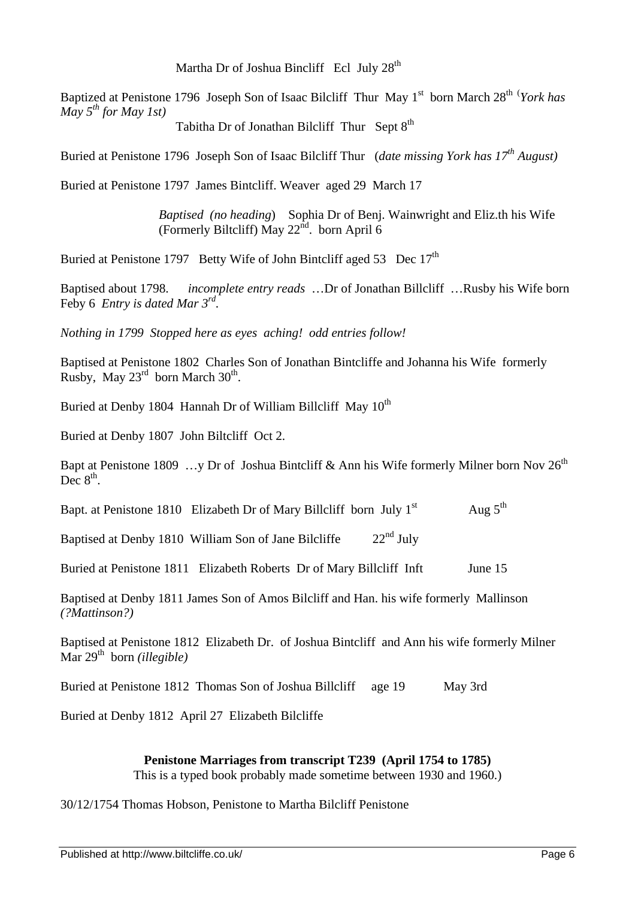Martha Dr of Joshua Bincliff Ecl July  $28<sup>th</sup>$ 

Baptized at Penistone 1796 Joseph Son of Isaac Bilcliff Thur May 1<sup>st</sup> born March 28<sup>th (</sup>*York has May*  $5^{th}$  *for May 1st)* 

Tabitha Dr of Jonathan Bilcliff Thur Sept 8<sup>th</sup>

Buried at Penistone 1796 Joseph Son of Isaac Bilcliff Thur (*date missing York has 17th August)*

Buried at Penistone 1797 James Bintcliff. Weaver aged 29 March 17

*Baptised (no heading*) Sophia Dr of Benj. Wainwright and Eliz.th his Wife (Formerly Biltcliff) May  $22^{\text{nd}}$ . born April 6

Buried at Penistone 1797 Betty Wife of John Bintcliff aged 53 Dec 17<sup>th</sup>

Baptised about 1798. *incomplete entry reads* …Dr of Jonathan Billcliff …Rusby his Wife born Feby 6 *Entry is dated Mar 3 rd .*

*Nothing in 1799 Stopped here as eyes aching! odd entries follow!*

Baptised at Penistone 1802 Charles Son of Jonathan Bintcliffe and Johanna his Wife formerly Rusby, May  $23^{\text{rd}}$  born March  $30^{\text{th}}$ .

Buried at Denby 1804 Hannah Dr of William Billcliff May  $10^{th}$ 

Buried at Denby 1807 John Biltcliff Oct 2.

Bapt at Penistone 1809 …y Dr of Joshua Bintcliff & Ann his Wife formerly Milner born Nov  $26^{th}$ Dec  $8^{\text{th}}$ .

Bapt. at Penistone 1810 Elizabeth Dr of Mary Billcliff born July  $1<sup>st</sup>$ Aug  $5^{th}$ 

Baptised at Denby 1810 William Son of Jane Bilcliffe  $22<sup>nd</sup>$  July

Buried at Penistone 1811 Elizabeth Roberts Dr of Mary Billcliff Inft June 15

Baptised at Denby 1811 James Son of Amos Bilcliff and Han. his wife formerly Mallinson *(?Mattinson?)*

Baptised at Penistone 1812 Elizabeth Dr. of Joshua Bintcliff and Ann his wife formerly Milner Mar 29<sup>th</sup> born *(illegible)* 

Buried at Penistone 1812 Thomas Son of Joshua Billcliff age 19 May 3rd

Buried at Denby 1812 April 27 Elizabeth Bilcliffe

## **Penistone Marriages from transcript T239 (April 1754 to 1785)**

This is a typed book probably made sometime between 1930 and 1960.)

## 30/12/1754 Thomas Hobson, Penistone to Martha Bilcliff Penistone